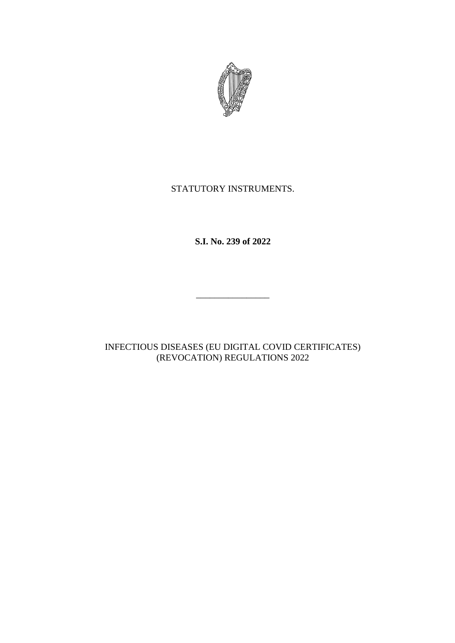

# STATUTORY INSTRUMENTS.

**S.I. No. 239 of 2022**

INFECTIOUS DISEASES (EU DIGITAL COVID CERTIFICATES) (REVOCATION) REGULATIONS 2022

\_\_\_\_\_\_\_\_\_\_\_\_\_\_\_\_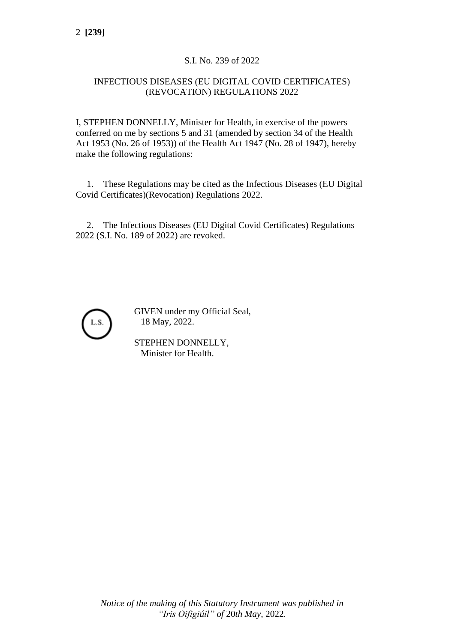## S.I. No. 239 of 2022

### INFECTIOUS DISEASES (EU DIGITAL COVID CERTIFICATES) (REVOCATION) REGULATIONS 2022

I, STEPHEN DONNELLY, Minister for Health, in exercise of the powers conferred on me by sections 5 and 31 (amended by section 34 of the Health Act 1953 (No. 26 of 1953)) of the Health Act 1947 (No. 28 of 1947), hereby make the following regulations:

1. These Regulations may be cited as the Infectious Diseases (EU Digital Covid Certificates)(Revocation) Regulations 2022.

2. The Infectious Diseases (EU Digital Covid Certificates) Regulations 2022 (S.I. No. 189 of 2022) are revoked.



GIVEN under my Official Seal, 18 May, 2022.

STEPHEN DONNELLY, Minister for Health.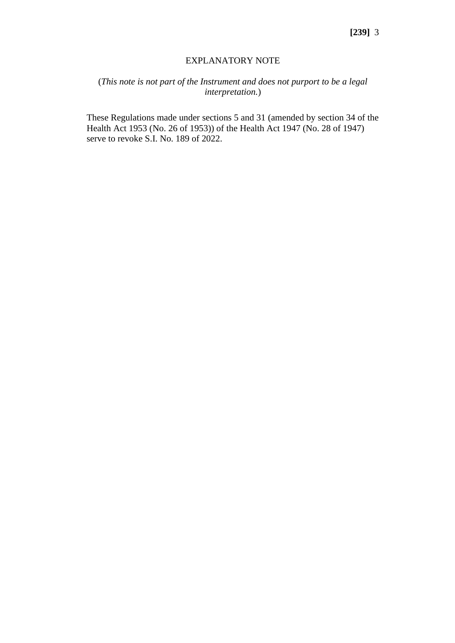#### EXPLANATORY NOTE

# (*This note is not part of the Instrument and does not purport to be a legal interpretation.*)

These Regulations made under sections 5 and 31 (amended by section 34 of the Health Act 1953 (No. 26 of 1953)) of the Health Act 1947 (No. 28 of 1947) serve to revoke S.I. No. 189 of 2022.